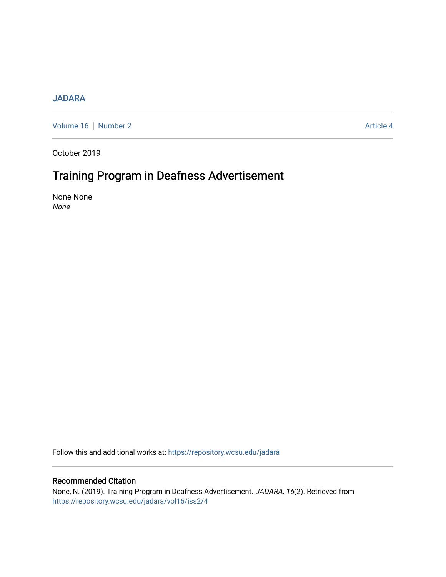### [JADARA](https://repository.wcsu.edu/jadara)

[Volume 16](https://repository.wcsu.edu/jadara/vol16) | [Number 2](https://repository.wcsu.edu/jadara/vol16/iss2) Article 4

October 2019

# Training Program in Deafness Advertisement

None None None

Follow this and additional works at: [https://repository.wcsu.edu/jadara](https://repository.wcsu.edu/jadara?utm_source=repository.wcsu.edu%2Fjadara%2Fvol16%2Fiss2%2F4&utm_medium=PDF&utm_campaign=PDFCoverPages)

### Recommended Citation

None, N. (2019). Training Program in Deafness Advertisement. JADARA, 16(2). Retrieved from [https://repository.wcsu.edu/jadara/vol16/iss2/4](https://repository.wcsu.edu/jadara/vol16/iss2/4?utm_source=repository.wcsu.edu%2Fjadara%2Fvol16%2Fiss2%2F4&utm_medium=PDF&utm_campaign=PDFCoverPages)